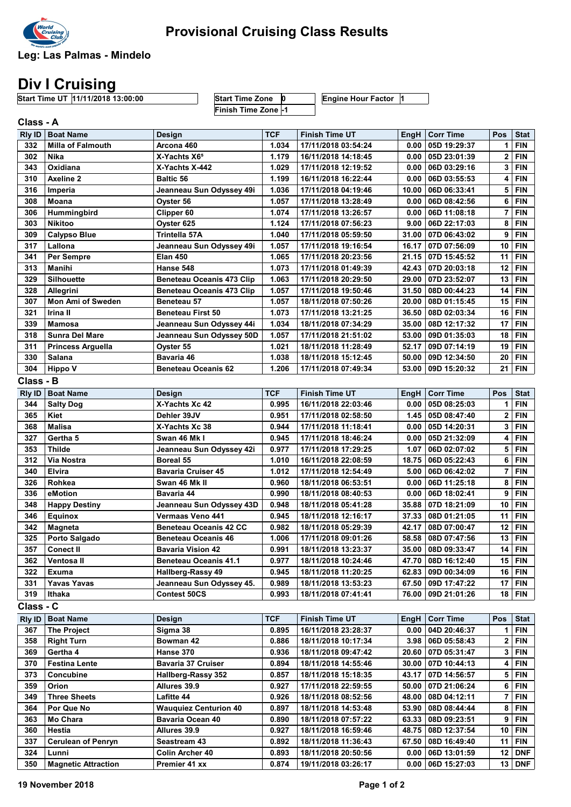

Leg: Las Palmas - Mindelo

## Div I Cruising

Start Time UT 11/11/2018 13:00:00 Start Time Zone 0 Engine Hour Factor 1 Start Time Zone 0<br>Finish Time Zone -1

| Class - A            |                            |                                  |            |                       |                     |                                  |              |                           |  |  |
|----------------------|----------------------------|----------------------------------|------------|-----------------------|---------------------|----------------------------------|--------------|---------------------------|--|--|
| <b>Rly ID</b>        | <b>Boat Name</b>           | Design                           | <b>TCF</b> | <b>Finish Time UT</b> | EngH                | <b>Corr Time</b>                 | Pos          | <b>Stat</b>               |  |  |
| 332                  | <b>Milla of Falmouth</b>   | Arcona 460                       | 1.034      | 17/11/2018 03:54:24   | 0.00                | 05D 19:29:37                     | 1            | <b>FIN</b>                |  |  |
| 302                  | Nika                       | X-Yachts X6 <sup>5</sup>         | 1.179      | 16/11/2018 14:18:45   | 0.00                | 05D 23:01:39                     | 2            | <b>FIN</b>                |  |  |
| 343                  | Oxidiana                   | X-Yachts X-442                   | 1.029      | 17/11/2018 12:19:52   | 0.00                | 06D 03:29:16                     | 3            | <b>FIN</b>                |  |  |
| 310                  | <b>Axeline 2</b>           | <b>Baltic 56</b>                 | 1.199      | 16/11/2018 16:22:44   | 0.00                | 06D 03:55:53                     | 4            | <b>FIN</b>                |  |  |
| 316                  | Imperia                    | Jeanneau Sun Odyssey 49i         | 1.036      | 17/11/2018 04:19:46   | 10.00               | 06D 06:33:41                     | 5            | <b>FIN</b>                |  |  |
| 308                  | Moana                      | Oyster 56                        | 1.057      | 17/11/2018 13:28:49   | 0.00                | 06D 08:42:56                     | 6            | <b>FIN</b>                |  |  |
| 306                  | Hummingbird                | Clipper 60                       | 1.074      | 17/11/2018 13:26:57   | 0.00                | 06D 11:08:18                     | 7            | <b>FIN</b>                |  |  |
| 303                  | <b>Nikitoo</b>             | Oyster 625                       | 1.124      | 17/11/2018 07:56:23   | 9.00                | 06D 22:17:03                     | 8            | <b>FIN</b>                |  |  |
| 309                  | Calypso Blue               | Trintella 57A                    | 1.040      | 17/11/2018 05:59:50   | 31.00               | 07D 06:43:02                     | 9            | <b>FIN</b>                |  |  |
| 317                  | Lallona                    | Jeanneau Sun Odyssey 49i         | 1.057      | 17/11/2018 19:16:54   | 16.17               | 07D 07:56:09                     | 10           | <b>FIN</b>                |  |  |
| 341                  | Per Sempre                 | <b>Elan 450</b>                  | 1.065      | 17/11/2018 20:23:56   | 21.15               | 07D 15:45:52                     | 11           | <b>FIN</b>                |  |  |
| 313                  | Manihi                     | Hanse 548                        | 1.073      | 17/11/2018 01:49:39   | 42.43               | 07D 20:03:18                     | 12           | <b>FIN</b>                |  |  |
| 329                  | <b>Silhouette</b>          | <b>Beneteau Oceanis 473 Clip</b> | 1.063      | 17/11/2018 20:29:50   | 29.00               | 07D 23:52:07                     | 13           | <b>FIN</b>                |  |  |
| 328                  | Allegrini                  | <b>Beneteau Oceanis 473 Clip</b> | 1.057      | 17/11/2018 19:50:46   | 31.50               | 08D 00:44:23                     | 14           | <b>FIN</b>                |  |  |
| 307                  | <b>Mon Ami of Sweden</b>   | Beneteau 57                      | 1.057      | 18/11/2018 07:50:26   | 20.00               | 08D 01:15:45                     | 15           | <b>FIN</b>                |  |  |
| 321                  | Irina II                   | <b>Beneteau First 50</b>         | 1.073      | 17/11/2018 13:21:25   | 36.50               | 08D 02:03:34                     | 16           | <b>FIN</b>                |  |  |
| 339                  | Mamosa                     | Jeanneau Sun Odyssey 44i         | 1.034      | 18/11/2018 07:34:29   | 35.00               | 08D 12:17:32                     | 17           | <b>FIN</b>                |  |  |
| 318                  | <b>Sunra Del Mare</b>      | Jeanneau Sun Odyssey 50D         | 1.057      | 17/11/2018 21:51:02   | 53.00               | 09D 01:35:03                     | 18           | <b>FIN</b>                |  |  |
| 311                  | <b>Princess Arguella</b>   | Oyster 55                        | 1.021      | 18/11/2018 11:28:49   | 52.17               | 09D 07:14:19                     | 19           | <b>FIN</b>                |  |  |
| 330                  | Salana                     | Bavaria 46                       | 1.038      | 18/11/2018 15:12:45   | 50.00               | 09D 12:34:50                     | 20           | <b>FIN</b>                |  |  |
| 304                  | <b>Hippo V</b>             | <b>Beneteau Oceanis 62</b>       | 1.206      | 17/11/2018 07:49:34   | 53.00               | 09D 15:20:32                     | 21           | <b>FIN</b>                |  |  |
| Class - B            |                            |                                  |            |                       |                     |                                  |              |                           |  |  |
|                      |                            |                                  | <b>TCF</b> |                       |                     |                                  | Pos          |                           |  |  |
| <b>Rly ID</b><br>344 | <b>Boat Name</b>           | Design<br>X-Yachts Xc 42         | 0.995      | <b>Finish Time UT</b> | <b>EngH</b><br>0.00 | <b>Corr Time</b><br>05D 08:25:03 | 1            | <b>Stat</b><br><b>FIN</b> |  |  |
| 365                  | <b>Salty Dog</b><br>Kiet   | Dehler 39JV                      | 0.951      | 16/11/2018 22:03:46   |                     |                                  | 2            | <b>FIN</b>                |  |  |
|                      |                            |                                  |            | 17/11/2018 02:58:50   | 1.45                | 05D 08:47:40                     | 3            | <b>FIN</b>                |  |  |
| 368                  | Malisa<br>Gertha 5         | X-Yachts Xc 38                   | 0.944      | 17/11/2018 11:18:41   | 0.00                | 05D 14:20:31                     |              | <b>FIN</b>                |  |  |
| 327                  |                            | Swan 46 Mk I                     | 0.945      | 17/11/2018 18:46:24   | 0.00                | 05D 21:32:09                     | 4            |                           |  |  |
| 353                  | Thilde                     | Jeanneau Sun Odyssey 42i         | 0.977      | 17/11/2018 17:29:25   | 1.07                | 06D 02:07:02                     | 5            | <b>FIN</b>                |  |  |
| 312                  | Via Nostra                 | Boreal 55                        | 1.010      | 16/11/2018 22:08:59   | 18.75               | 06D 05:22:43                     | 6            | <b>FIN</b>                |  |  |
| 340                  | Elvira                     | <b>Bavaria Cruiser 45</b>        | 1.012      | 17/11/2018 12:54:49   | 5.00                | 06D 06:42:02                     | 7            | <b>FIN</b>                |  |  |
| 326                  | Rohkea                     | Swan 46 Mk II                    | 0.960      | 18/11/2018 06:53:51   | 0.00                | 06D 11:25:18                     | 8            | <b>FIN</b>                |  |  |
| 336                  | eMotion                    | Bavaria 44                       | 0.990      | 18/11/2018 08:40:53   | 0.00                | 06D 18:02:41                     | 9            | <b>FIN</b>                |  |  |
| 348                  | <b>Happy Destiny</b>       | Jeanneau Sun Odyssey 43D         | 0.948      | 18/11/2018 05:41:28   | 35.88               | 07D 18:21:09                     | 10           | <b>FIN</b>                |  |  |
| 346                  | <b>Equinox</b>             | Vermaas Veno 441                 | 0.945      | 18/11/2018 12:16:17   | 37.33               | 08D 01:21:05                     | 11           | <b>FIN</b>                |  |  |
| 342                  | <b>Magneta</b>             | <b>Beneteau Oceanis 42 CC</b>    | 0.982      | 18/11/2018 05:29:39   | 42.17               | 08D 07:00:47                     | 12           | <b>FIN</b>                |  |  |
| 325                  | Porto Salgado              | <b>Beneteau Oceanis 46</b>       | 1.006      | 17/11/2018 09:01:26   | 58.58               | 08D 07:47:56                     | 13           | <b>FIN</b>                |  |  |
| 357                  | <b>Conect II</b>           | Bavaria Vision 42                | 0.991      | 18/11/2018 13:23:37   |                     | 35.00 08D 09:33:47               |              | $14$ FIN                  |  |  |
| 362                  | Ventosa II                 | <b>Beneteau Oceanis 41.1</b>     | 0.977      | 18/11/2018 10:24:46   |                     | 47.70 08D 16:12:40               |              | $15$ FIN                  |  |  |
| 322                  | Exuma                      | Hallberg-Rassy 49                | 0.945      | 18/11/2018 11:20:25   | 62.83               | 09D 00:34:09                     | 16           | <b>FIN</b>                |  |  |
| 331                  | <b>Yavas Yavas</b>         | Jeanneau Sun Odyssey 45.         | 0.989      | 18/11/2018 13:53:23   | 67.50               | 09D 17:47:22                     | 17           | <b>FIN</b>                |  |  |
| 319                  | Ithaka                     | <b>Contest 50CS</b>              | 0.993      | 18/11/2018 07:41:41   | 76.00               | 09D 21:01:26                     | 18 I         | <b>FIN</b>                |  |  |
| Class - C            |                            |                                  |            |                       |                     |                                  |              |                           |  |  |
| <b>RIy ID</b>        | <b>Boat Name</b>           | Design                           | <b>TCF</b> | <b>Finish Time UT</b> | EngH                | <b>Corr Time</b>                 | Pos          | <b>Stat</b>               |  |  |
| 367                  | <b>The Project</b>         | Sigma 38                         | 0.895      | 16/11/2018 23:28:37   |                     | $0.00$ 04D 20:46:37              | 1.           | <b>FIN</b>                |  |  |
| 358                  | <b>Right Turn</b>          | Bowman 42                        | 0.886      | 18/11/2018 10:17:34   |                     | $3.98$ 06D 05:58:43              | $\mathbf{2}$ | <b>FIN</b>                |  |  |
| 369                  | Gertha 4                   | Hanse 370                        | 0.936      | 18/11/2018 09:47:42   | 20.60               | 07D 05:31:47                     | 3            | <b>FIN</b>                |  |  |
| 370                  | Festina Lente              | <b>Bavaria 37 Cruiser</b>        | 0.894      | 18/11/2018 14:55:46   | 30.00               | 07D 10:44:13                     | 4            | <b>FIN</b>                |  |  |
| 373                  | Concubine                  | <b>Hallberg-Rassy 352</b>        | 0.857      | 18/11/2018 15:18:35   | 43.17               | 07D 14:56:57                     | 5            | <b>FIN</b>                |  |  |
| 359                  | Orion                      | Allures 39.9                     | 0.927      | 17/11/2018 22:59:55   | 50.00               | 07D 21:06:24                     | 6            | <b>FIN</b>                |  |  |
| 349                  | <b>Three Sheets</b>        | Lafitte 44                       | 0.926      | 18/11/2018 08:52:56   | 48.00               | 08D 04:12:11                     | 7            | <b>FIN</b>                |  |  |
| 364                  | Por Que No                 | <b>Wauquiez Centurion 40</b>     | 0.897      | 18/11/2018 14:53:48   | 53.90               | 08D 08:44:44                     | 8            | <b>FIN</b>                |  |  |
| 363                  | Mo Chara                   | Bavaria Ocean 40                 | 0.890      | 18/11/2018 07:57:22   | 63.33               | 08D 09:23:51                     | 9            | <b>FIN</b>                |  |  |
| 360                  | Hestia                     | Allures 39.9                     | 0.927      | 18/11/2018 16:59:46   | 48.75               | 08D 12:37:54                     | 10           | <b>FIN</b>                |  |  |
| 337                  | <b>Cerulean of Penryn</b>  | Seastream 43                     | 0.892      | 18/11/2018 11:36:43   | 67.50               | 08D 16:49:40                     | 11           | <b>FIN</b>                |  |  |
| 324                  | Lunni                      | Colin Archer 40                  | 0.893      | 18/11/2018 20:50:56   | 0.00                | 06D 13:01:59                     | 12           | <b>DNF</b>                |  |  |
| 350                  | <b>Magnetic Attraction</b> | Premier 41 xx                    | 0.874      | 19/11/2018 03:26:17   |                     | $0.00$   06D 15:27:03            |              | 13   DNF                  |  |  |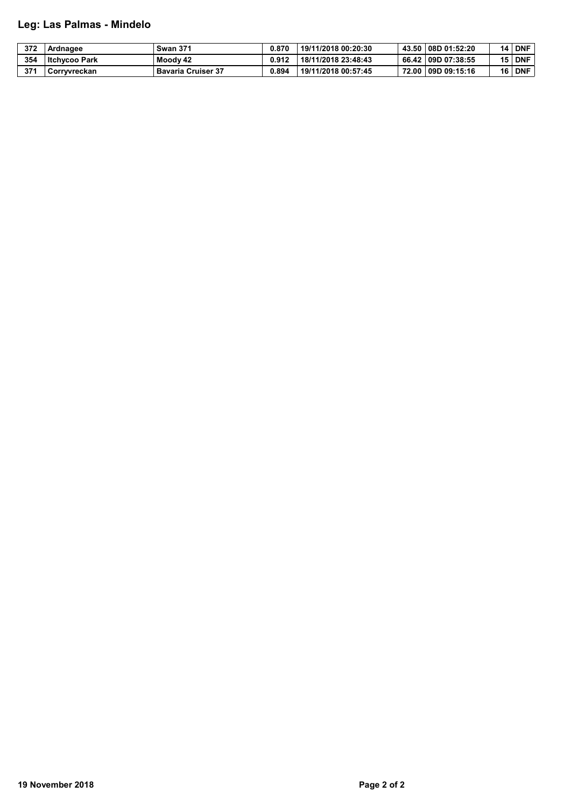## Leg: Las Palmas - Mindelo

| 372 | Ardnagee             | <b>Swan 371</b>           | 0.870 | 19/11/2018 00:20:30 | 43.50 08D 01:52:20 | 14 | <b>DNF</b> |
|-----|----------------------|---------------------------|-------|---------------------|--------------------|----|------------|
| 354 | <b>Itchycoo Park</b> | Moody 42                  | 0.912 | 18/11/2018 23:48:43 | 66.42 09D 07:38:55 | 15 | <b>DNF</b> |
| 371 | Corrvvreckan         | <b>Bavaria Cruiser 37</b> | 0.894 | 19/11/2018 00:57:45 | 72.00 09D 09:15:16 | 16 | <b>DNF</b> |